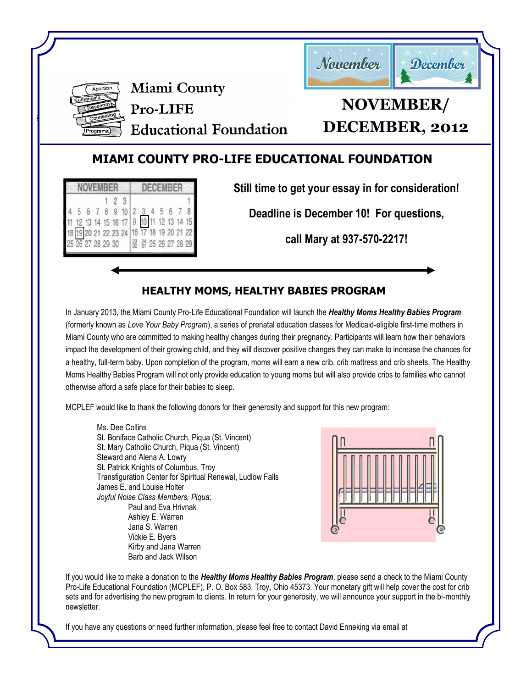

**Miami County** Pro-LIFE **Educational Foundation** 



# **DECEMBER, 2012**

### **MIAMI COUNTY PRO-LIFE EDUCATIONAL FOUNDATION**

| <b>NOVEMBER</b> |  |  |  |  | <b>DECEMBER</b>                           |  |  |  |  |  |  |
|-----------------|--|--|--|--|-------------------------------------------|--|--|--|--|--|--|
|                 |  |  |  |  | 123                                       |  |  |  |  |  |  |
|                 |  |  |  |  | 4 5 6 7 8 9 10 2 3 4 5 6 7 8              |  |  |  |  |  |  |
|                 |  |  |  |  | 11 12 13 14 15 16 17 9 10 11 12 13 14 15  |  |  |  |  |  |  |
|                 |  |  |  |  | 18 19 20 21 22 23 24 16 17 18 19 20 21 22 |  |  |  |  |  |  |
|                 |  |  |  |  |                                           |  |  |  |  |  |  |

**Still time to get your essay in for consideration!** 

**Deadline is December 10! For questions,** 

**call Mary at 937-570-2217!**

#### **HEALTHY MOMS, HEALTHY BABIES PROGRAM**

In January 2013, the Miami County Pro-Life Educational Foundation will launch the *Healthy Moms Healthy Babies Program* (formerly known as *Love Your Baby Program*), a series of prenatal education classes for Medicaid-eligible first-time mothers in Miami County who are committed to making healthy changes during their pregnancy. Participants will learn how their behaviors impact the development of their growing child, and they will discover positive changes they can make to increase the chances for a healthy, full-term baby. Upon completion of the program, moms will earn a new crib, crib mattress and crib sheets. The Healthy Moms Healthy Babies Program will not only provide education to young moms but will also provide cribs to families who cannot otherwise afford a safe place for their babies to sleep.

MCPLEF would like to thank the following donors for their generosity and support for this new program:

Ms. Dee Collins St. Boniface Catholic Church, Piqua (St. Vincent) St. Mary Catholic Church, Piqua (St. Vincent) Steward and Alena A. Lowry St. Patrick Knights of Columbus, Troy Transfiguration Center for Spiritual Renewal, Ludlow Falls James E. and Louise Holter *Joyful Noise Class Members, Piqua*: Paul and Eva Hrivnak Ashley E. Warren Jana S. Warren Vickie E. Byers Kirby and Jana Warren Barb and Jack Wilson



If you would like to make a donation to the *Healthy Moms Healthy Babies Program*, please send a check to the Miami County Pro-Life Educational Foundation (MCPLEF), P. O. Box 583, Troy, Ohio 45373. Your monetary gift will help cover the cost for crib sets and for advertising the new program to clients. In return for your generosity, we will announce your support in the bi-monthly newsletter.

If you have any questions or need further information, please feel free to contact David Enneking via email at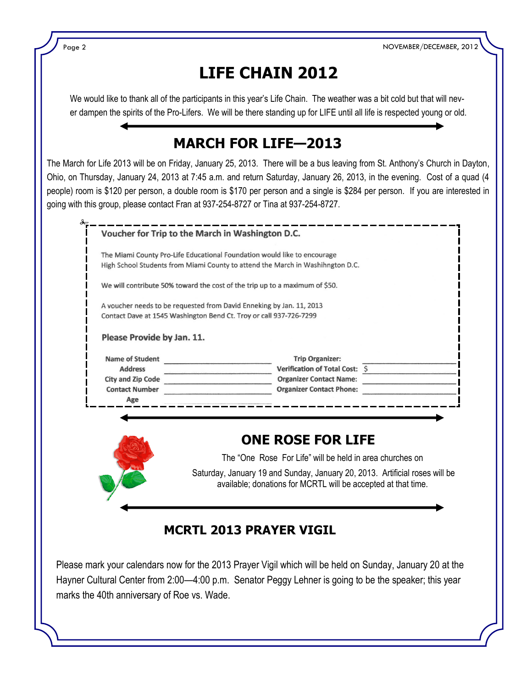NOVEMBER/DECEMBER, 2012

# **LIFE CHAIN 2012**

Page 2

We would like to thank all of the participants in this year's Life Chain. The weather was a bit cold but that will never dampen the spirits of the Pro-Lifers. We will be there standing up for LIFE until all life is respected young or old.

## **MARCH FOR LIFE—2013**

The March for Life 2013 will be on Friday, January 25, 2013. There will be a bus leaving from St. Anthony's Church in Dayton, Ohio, on Thursday, January 24, 2013 at 7:45 a.m. and return Saturday, January 26, 2013, in the evening. Cost of a quad (4 people) room is \$120 per person, a double room is \$170 per person and a single is \$284 per person. If you are interested in going with this group, please contact Fran at 937-254-8727 or Tina at 937-254-8727.

| The Miami County Pro-Life Educational Foundation would like to encourage<br>High School Students from Miami County to attend the March in Washihngton D.C. |                                                              |                                                                             |  |  |  |  |  |
|------------------------------------------------------------------------------------------------------------------------------------------------------------|--------------------------------------------------------------|-----------------------------------------------------------------------------|--|--|--|--|--|
|                                                                                                                                                            |                                                              |                                                                             |  |  |  |  |  |
|                                                                                                                                                            |                                                              | We will contribute 50% toward the cost of the trip up to a maximum of \$50. |  |  |  |  |  |
| A voucher needs to be requested from David Enneking by Jan. 11, 2013                                                                                       |                                                              |                                                                             |  |  |  |  |  |
| Contact Dave at 1545 Washington Bend Ct. Troy or call 937-726-7299                                                                                         |                                                              |                                                                             |  |  |  |  |  |
| Please Provide by Jan. 11.                                                                                                                                 |                                                              |                                                                             |  |  |  |  |  |
|                                                                                                                                                            |                                                              |                                                                             |  |  |  |  |  |
| <b>Name of Student</b><br><b>Address</b>                                                                                                                   | <b>Considerably and the construction of the construction</b> | <b>Trip Organizer:</b><br>Verification of Total Cost: \$                    |  |  |  |  |  |
|                                                                                                                                                            |                                                              | <b>Organizer Contact Name:</b>                                              |  |  |  |  |  |
| City and Zip Code <b>City</b> and Zip Code<br><b>Contact Number</b>                                                                                        |                                                              | <b>Organizer Contact Phone:</b>                                             |  |  |  |  |  |
| Age                                                                                                                                                        |                                                              |                                                                             |  |  |  |  |  |
|                                                                                                                                                            |                                                              |                                                                             |  |  |  |  |  |
|                                                                                                                                                            |                                                              | <b>ONE ROSE FOR LIFE</b>                                                    |  |  |  |  |  |
|                                                                                                                                                            |                                                              |                                                                             |  |  |  |  |  |
|                                                                                                                                                            |                                                              | The "One Rose For Life" will be held in area churches on                    |  |  |  |  |  |
|                                                                                                                                                            |                                                              | Saturday, January 19 and Sunday, January 20, 2013. Artificial roses will be |  |  |  |  |  |
|                                                                                                                                                            |                                                              | available; donations for MCRTL will be accepted at that time.               |  |  |  |  |  |
|                                                                                                                                                            |                                                              |                                                                             |  |  |  |  |  |

Please mark your calendars now for the 2013 Prayer Vigil which will be held on Sunday, January 20 at the Hayner Cultural Center from 2:00—4:00 p.m. Senator Peggy Lehner is going to be the speaker; this year marks the 40th anniversary of Roe vs. Wade.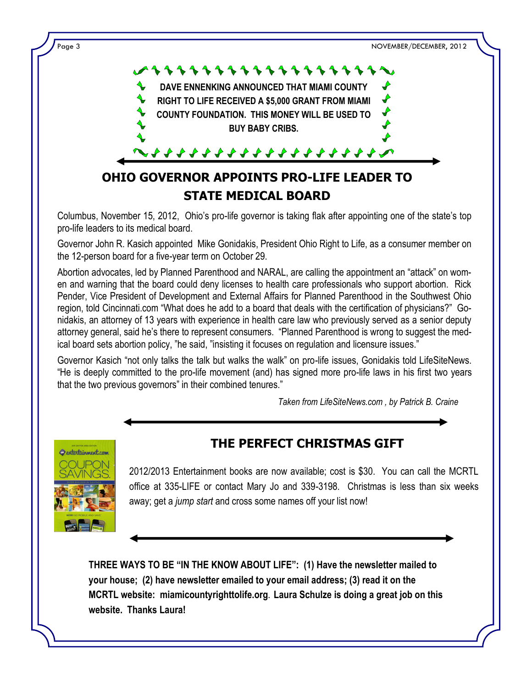

## **OHIO GOVERNOR APPOINTS PRO-LIFE LEADER TO STATE MEDICAL BOARD**

Columbus, November 15, 2012, Ohio's pro-life governor is taking flak after appointing one of the state's top pro-life leaders to its medical board.

Governor John R. Kasich appointed Mike Gonidakis, President Ohio Right to Life, as a consumer member on the 12-person board for a five-year term on October 29.

Abortion advocates, led by Planned Parenthood and NARAL, are calling the appointment an "attack" on women and warning that the board could deny licenses to health care professionals who support abortion. Rick Pender, Vice President of Development and External Affairs for Planned Parenthood in the Southwest Ohio region, told Cincinnati.com "What does he add to a board that deals with the certification of physicians?" Gonidakis, an attorney of 13 years with experience in health care law who previously served as a senior deputy attorney general, said he's there to represent consumers. "Planned Parenthood is wrong to suggest the medical board sets abortion policy, "he said, "insisting it focuses on regulation and licensure issues."

Governor Kasich "not only talks the talk but walks the walk" on pro-life issues, Gonidakis told LifeSiteNews. "He is deeply committed to the pro-life movement (and) has signed more pro-life laws in his first two years that the two previous governors" in their combined tenures."

*Taken from LifeSiteNews.com , by Patrick B. Craine*



#### **THE PERFECT CHRISTMAS GIFT**

2012/2013 Entertainment books are now available; cost is \$30. You can call the MCRTL office at 335-LIFE or contact Mary Jo and 339-3198. Christmas is less than six weeks away; get a *jump start* and cross some names off your list now!

**THREE WAYS TO BE "IN THE KNOW ABOUT LIFE": (1) Have the newsletter mailed to your house; (2) have newsletter emailed to your email address; (3) read it on the MCRTL website: miamicountyrighttolife.org. Laura Schulze is doing a great job on this website. Thanks Laura!**